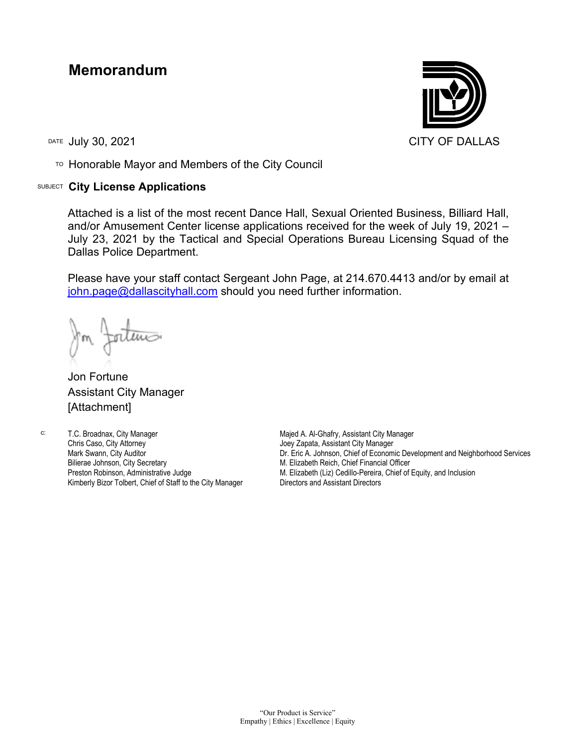## **Memorandum**

TO Honorable Mayor and Members of the City Council

## SUBJECT **City License Applications**



Attached is a list of the most recent Dance Hall, Sexual Oriented Business, Billiard Hall, and/or Amusement Center license applications received for the week of July 19, 2021 – July 23, 2021 by the Tactical and Special Operations Bureau Licensing Squad of the Dallas Police Department.

Please have your staff contact Sergeant John Page, at 214.670.4413 and/or by email at [john.page@dallascityhall.com](mailto:john.page@dallascityhall.com) should you need further information.

Jon Fortune Assistant City Manager [Attachment]

c: T.C. Broadnax, City Manager Chris Caso, City Attorney Mark Swann, City Auditor Bilierae Johnson, City Secretary Preston Robinson, Administrative Judge Kimberly Bizor Tolbert, Chief of Staff to the City Manager

Majed A. Al-Ghafry, Assistant City Manager Joey Zapata, Assistant City Manager Dr. Eric A. Johnson, Chief of Economic Development and Neighborhood Services M. Elizabeth Reich, Chief Financial Officer M. Elizabeth (Liz) Cedillo-Pereira, Chief of Equity, and Inclusion Directors and Assistant Directors